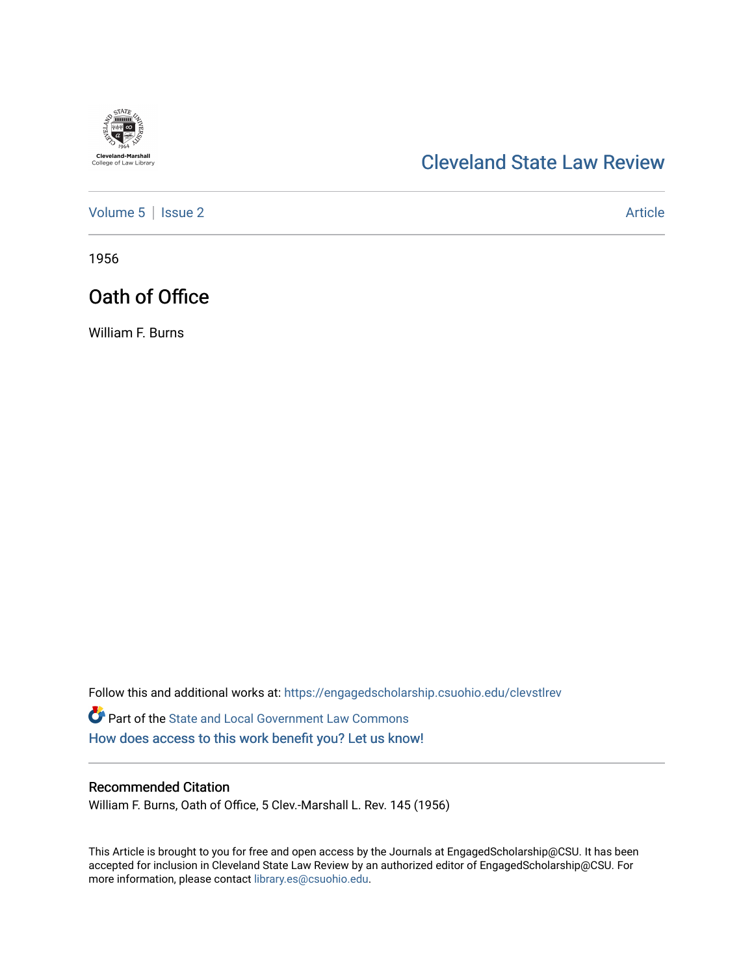

## [Cleveland State Law Review](https://engagedscholarship.csuohio.edu/clevstlrev)

[Volume 5](https://engagedscholarship.csuohio.edu/clevstlrev/vol5) | [Issue 2](https://engagedscholarship.csuohio.edu/clevstlrev/vol5/iss2) Article

1956

# Oath of Office

William F. Burns

Follow this and additional works at: [https://engagedscholarship.csuohio.edu/clevstlrev](https://engagedscholarship.csuohio.edu/clevstlrev?utm_source=engagedscholarship.csuohio.edu%2Fclevstlrev%2Fvol5%2Fiss2%2F10&utm_medium=PDF&utm_campaign=PDFCoverPages) Part of the [State and Local Government Law Commons](http://network.bepress.com/hgg/discipline/879?utm_source=engagedscholarship.csuohio.edu%2Fclevstlrev%2Fvol5%2Fiss2%2F10&utm_medium=PDF&utm_campaign=PDFCoverPages) [How does access to this work benefit you? Let us know!](http://library.csuohio.edu/engaged/)

### Recommended Citation

William F. Burns, Oath of Office, 5 Clev.-Marshall L. Rev. 145 (1956)

This Article is brought to you for free and open access by the Journals at EngagedScholarship@CSU. It has been accepted for inclusion in Cleveland State Law Review by an authorized editor of EngagedScholarship@CSU. For more information, please contact [library.es@csuohio.edu](mailto:library.es@csuohio.edu).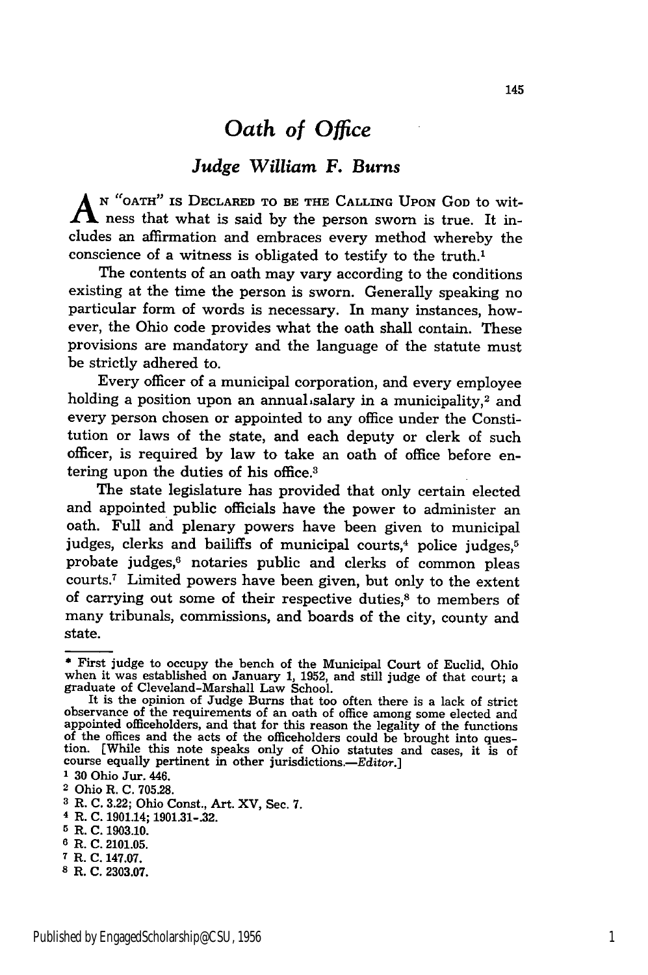### *Oath of Office*

#### *Judge William F.* Burns

**A N "OATH" IS DECLARED TO BE THE CALLING UPON GOD** to witness that what is said by the person sworn is true. It includes an affirmation and embraces every method whereby the conscience of a witness is obligated to testify to the truth.1

The contents of an oath may vary according to the conditions existing at the time the person is sworn. Generally speaking no particular form of words is necessary. In many instances, however, the Ohio code provides what the oath shall contain. These provisions are mandatory and the language of the statute must be strictly adhered to.

Every officer of a municipal corporation, and every employee holding a position upon an annual salary in a municipality,<sup>2</sup> and every person chosen or appointed to any office under the Constitution or laws of the state, and each deputy or clerk of such officer, is required **by** law to take an oath of office before entering upon the duties of his office.<sup>8</sup>

The state legislature has provided that only certain elected and appointed public officials have the power to administer an oath. Full and plenary powers have been given to municipal judges, clerks and bailiffs of municipal courts,<sup>4</sup> police judges,<sup>5</sup> probate judges,<sup>6</sup> notaries public and clerks of common pleas courts.7 Limited powers have been given, but only to the extent of carrying out some of their respective duties, $\delta$  to members of many tribunals, commissions, and boards of the city, county and state.

**7** R. **C. 147.07.**

**<sup>\*</sup>** First judge to occupy the bench of the Municipal Court of Euclid, Ohio when it was established on January **1, 1952,** and still judge of that court; a graduate of Cleveland-Marshall Law School.

It is the opinion of Judge Burns that too often there is a lack of strict observance of the requirements of an oath of office among some elected and observance of the requirements of an oath of office among some elected an appointed officeholders, and that for this reason the legality of the functions of the offices and the acts of the officeholders could be brought into question. [While this note speaks only of Ohio statutes and cases, it is of course equally pertinent in other jurisdictions.—Editor.]

**<sup>1</sup> 30** Ohio Jur. 446.

**<sup>2</sup>** Ohio R. **C. 705.28.**

**<sup>3</sup>** R. **C. 3.22;** Ohio Const., Art. XV, Sec. **7.**

**<sup>4</sup>** R. **C.** 1901.14; **1901.31-32.**

**<sup>5</sup>** R. **C. 1903.10.**

**<sup>6</sup>** R. **C. 2101.05.**

**<sup>8</sup>** R. **C. 2303.07.**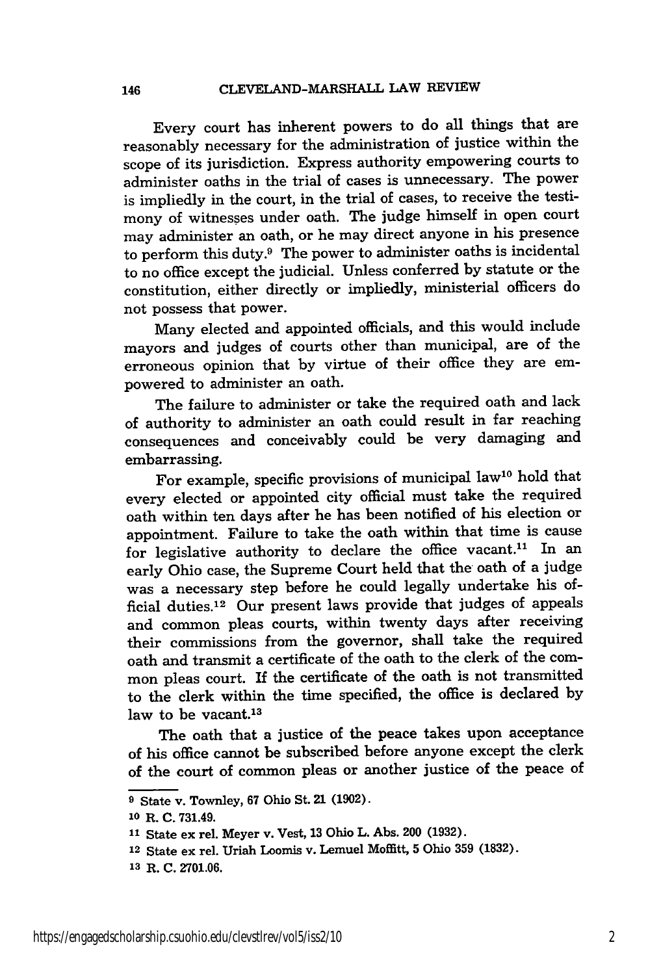Every court has inherent powers to do all things that are reasonably necessary for the administration of justice within the scope of its jurisdiction. Express authority empowering courts to administer oaths in the trial of cases is unnecessary. The power is impliedly in the court, in the trial of cases, to receive the testimony of witnesses under oath. The judge himself in open court may administer an oath, or he may direct anyone in his presence to perform this duty.9 The power to administer oaths is incidental to no office except the judicial. Unless conferred by statute or the constitution, either directly or impliedly, ministerial officers do not possess that power.

Many elected and appointed officials, and this would include mayors and judges of courts other than municipal, are of the erroneous opinion that by virtue of their office they are empowered to administer an oath.

The failure to administer or take the required oath and lack of authority to administer an oath could result in far reaching consequences and conceivably could be very damaging and embarrassing.

For example, specific provisions of municipal law<sup>10</sup> hold that every elected or appointed city official must take the required oath within ten days after he has been notified of his election or appointment. Failure to take the oath within that time is cause for legislative authority to declare the office vacant.<sup>11</sup> In an early Ohio case, the Supreme Court held that the oath of a judge was a necessary step before he could legally undertake his official duties.<sup>12</sup> Our present laws provide that judges of appeals and common pleas courts, within twenty days after receiving their commissions from the governor, shall take the required oath and transmit a certificate of the oath to the clerk of the common pleas court. If the certificate of the oath is not transmitted to the clerk within the time specified, the office is declared by law to be vacant.<sup>13</sup>

The oath that a justice of the peace takes upon acceptance of his office cannot be subscribed before anyone except the clerk of the court of common pleas or another justice of the peace of

**<sup>9</sup>** State v. Townley, **67** Ohio St. 21 **(1902).**

**<sup>10</sup>** R. **C. 731.49.**

**<sup>11</sup>**State ex rel. Meyer v. Vest, **13** Ohio L. Abs. 200 **(1932).**

<sup>12</sup> State ex rel. Uriah Loomis v. Lemuel Moffitt, **5** Ohio **359 (1832).**

**<sup>13</sup>** R. **C. 2701.06.**